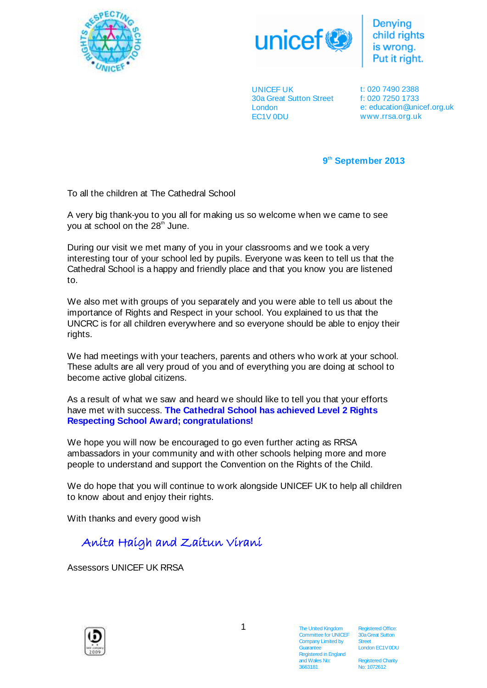



**Denving** child rights Put it right.

UNICEF UK 30a Great Sutton Street London EC1V 0DU

t: 020 7490 2388 f: 020 7250 1733 e: education@unicef.org.uk www.rrsa.org.uk

**9 th September 2013**

To all the children at The Cathedral School

A very big thank-you to you all for making us so welcome when we came to see you at school on the 28<sup>th</sup> June.

During our visit we met many of you in your classrooms and we took a very interesting tour of your school led by pupils. Everyone was keen to tell us that the Cathedral School is a happy and friendly place and that you know you are listened to.

We also met with groups of you separately and you were able to tell us about the importance of Rights and Respect in your school. You explained to us that the UNCRC is for all children everywhere and so everyone should be able to enjoy their rights.

We had meetings with your teachers, parents and others who work at your school. These adults are all very proud of you and of everything you are doing at school to become active global citizens.

As a result of what we saw and heard we should like to tell you that your efforts have met with success. **The Cathedral School has achieved Level 2 Rights Respecting School Award; congratulations!**

We hope you will now be encouraged to go even further acting as RRSA ambassadors in your community and with other schools helping more and more people to understand and support the Convention on the Rights of the Child.

We do hope that you will continue to work alongside UNICEF UK to help all children to know about and enjoy their rights.

With thanks and every good wish

Anita Haigh and Zaitun Virani

Assessors UNICEF UK RRSA



1

The United Kingdom Committee for UNICEF Company Limited by **Guarantee** Registered in England and Wales No: 3663181

Registered Office: 30a Great Sutton Street London EC1V 0DU

**Registered Charity** No: 1072612